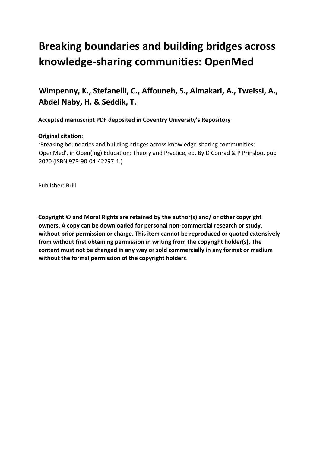# **Breaking boundaries and building bridges across knowledge-sharing communities: OpenMed**

**Wimpenny, K., Stefanelli, C., Affouneh, S., Almakari, A., Tweissi, A., Abdel Naby, H. & Seddik, T.** 

**Accepted manuscript PDF deposited in Coventry University's Repository** 

### **Original citation:**

'Breaking boundaries and building bridges across knowledge-sharing communities: OpenMed', in Open(ing) Education: Theory and Practice, ed. By D Conrad & P Prinsloo, pub 2020 (ISBN 978-90-04-42297-1 )

Publisher: Brill

**Copyright © and Moral Rights are retained by the author(s) and/ or other copyright owners. A copy can be downloaded for personal non-commercial research or study, without prior permission or charge. This item cannot be reproduced or quoted extensively from without first obtaining permission in writing from the copyright holder(s). The content must not be changed in any way or sold commercially in any format or medium without the formal permission of the copyright holders**.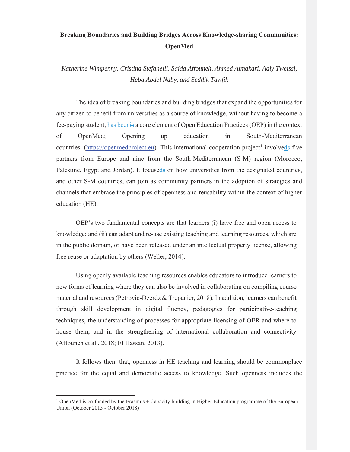## **Breaking Boundaries and Building Bridges Across Knowledge-sharing Communities: OpenMed**

 *Heba Abdel Naby, and Seddik Tawfik Katherine Wimpenny, Cristina Stefanelli, Saida Affouneh, Ahmed Almakari, Adiy Tweissi,* 

 The idea of breaking boundaries and building bridges that expand the opportunities for any citizen to benefit from universities as a source of knowledge, without having to become a fee-paying student, has beenis a core element of Open Education Practices (OEP) in the context countries (https://openmedproject.eu). This international cooperation project<sup>1</sup> involveds five partners from Europe and nine from the South-Mediterranean (S-M) region (Morocco, and other S-M countries, can join as community partners in the adoption of strategies and channels that embrace the principles of openness and reusability within the context of higher education (HE). of OpenMed; Opening up education in South-Mediterranean Palestine, Egypt and Jordan). It focuseds on how universities from the designated countries,

 OEP's two fundamental concepts are that learners (i) have free and open access to knowledge; and (ii) can adapt and re-use existing teaching and learning resources, which are in the public domain, or have been released under an intellectual property license, allowing free reuse or adaptation by others (Weller, 2014).

 Using openly available teaching resources enables educators to introduce learners to new forms of learning where they can also be involved in collaborating on compiling course material and resources (Petrovic-Dzerdz & Trepanier, 2018). In addition, learners can benefit through skill development in digital fluency, pedagogies for participative-teaching techniques, the understanding of processes for appropriate licensing of OER and where to house them, and in the strengthening of international collaboration and connectivity (Affouneh et al., 2018; El Hassan, 2013).

 It follows then, that, openness in HE teaching and learning should be commonplace practice for the equal and democratic access to knowledge. Such openness includes the

l

<sup>&</sup>lt;sup>1</sup> OpenMed is co-funded by the Erasmus + Capacity-building in Higher Education programme of the European Union (October 2015 - October 2018)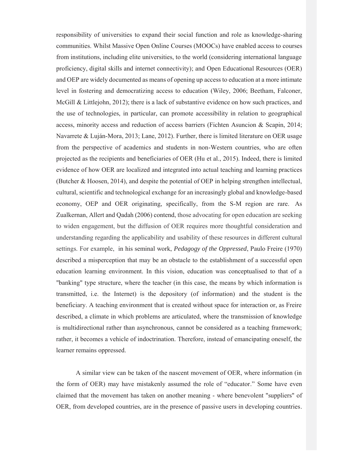responsibility of universities to expand their social function and role as knowledge-sharing communities. Whilst Massive Open Online Courses (MOOCs) have enabled access to courses proficiency, digital skills and internet connectivity); and Open Educational Resources (OER) and OEP are widely documented as means of opening up access to education at a more intimate McGill & Littlejohn, 2012); there is a lack of substantive evidence on how such practices, and the use of technologies, in particular, can promote accessibility in relation to geographical access, minority access and reduction of access barriers (Fichten Asuncion & Scapin, 2014; from the perspective of academics and students in non-Western countries, who are often projected as the recipients and beneficiaries of OER (Hu et al., 2015). Indeed, there is limited evidence of how OER are localized and integrated into actual teaching and learning practices (Butcher & Hoosen, 2014), and despite the potential of OEP in helping strengthen intellectual, economy, OEP and OER originating, specifically, from the S-M region are rare. As Zualkernan, Allert and Qadah (2006) contend, those advocating for open education are seeking to widen engagement, but the diffusion of OER requires more thoughtful consideration and understanding regarding the applicability and usability of these resources in different cultural described a misperception that may be an obstacle to the establishment of a successful open education learning environment. In this vision, education was conceptualised to that of a "banking" type structure, where the teacher (in this case, the means by which information is transmitted, i.e. the Internet) is the depository (of information) and the student is the beneficiary. A teaching environment that is created without space for interaction or, as Freire described, a climate in which problems are articulated, where the transmission of knowledge is multidirectional rather than asynchronous, cannot be considered as a teaching framework; rather, it becomes a vehicle of indoctrination. Therefore, instead of emancipating oneself, the from institutions, including elite universities, to the world (considering international language level in fostering and democratizing access to education (Wiley, 2006; Beetham, Falconer, Navarrete & Luján-Mora, 2013; Lane, 2012). Further, there is limited literature on OER usage cultural, scientific and technological exchange for an increasingly global and knowledge-based settings. For example, in his seminal work, *Pedagogy of the Oppressed*, Paulo Freire (1970) learner remains oppressed.

 the form of OER) may have mistakenly assumed the role of "educator." Some have even claimed that the movement has taken on another meaning - where benevolent "suppliers" of OER, from developed countries, are in the presence of passive users in developing countries. A similar view can be taken of the nascent movement of OER, where information (in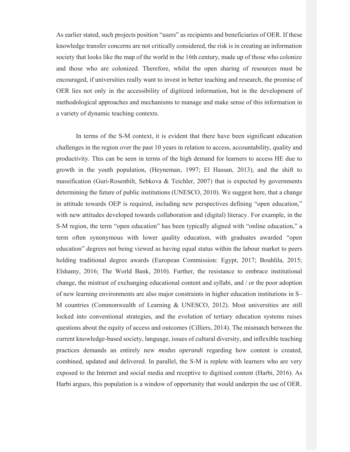As earlier stated, such projects position "users" as recipients and beneficiaries of OER. If these knowledge transfer concerns are not critically considered, the risk is in creating an information society that looks like the map of the world in the 16th century, made up of those who colonize and those who are colonized. Therefore, whilst the open sharing of resources must be encouraged, if universities really want to invest in better teaching and research, the promise of OER lies not only in the accessibility of digitized information, but in the development of methodological approaches and mechanisms to manage and make sense of this information in a variety of dynamic teaching contexts.

 In terms of the S-M context, it is evident that there have been significant education challenges in the region over the past 10 years in relation to access, accountability, quality and productivity. This can be seen in terms of the high demand for learners to access HE due to growth in the youth population, (Heyneman, 1997; El Hassan, 2013), and the shift to massification (Guri-Rosenbilt, Sebkova & Teichler, 2007) that is expected by governments determining the future of public institutions (UNESCO, 2010). We suggest here, that a change in attitude towards OEP is required, including new perspectives defining "open education," with new attitudes developed towards collaboration and (digital) literacy. For example, in the S-M region, the term "open education" has been typically aligned with "online education," a term often synonymous with lower quality education, with graduates awarded "open education" degrees not being viewed as having equal status within the labour market to peers change, the mistrust of exchanging educational content and syllabi, and / or the poor adoption of new learning environments are also major constraints in higher education institutions in S– M countries (Commonwealth of Learning & UNESCO, 2012). Most universities are still questions about the equity of access and outcomes (Cilliers, 2014). The mismatch between the current knowledge-based society, language, issues of cultural diversity, and inflexible teaching practices demands an entirely new *modus operandi* regarding how content is created, combined, updated and delivered. In parallel, the S-M is replete with learners who are very Harbi argues, this population is a window of opportunity that would underpin the use of OER.holding traditional degree awards (European Commission: Egypt, 2017; Bouhlila, 2015; Elshamy, 2016; The World Bank, 2010). Further, the resistance to embrace institutional locked into conventional strategies, and the evolution of tertiary education systems raises exposed to the Internet and social media and receptive to digitised content (Harbi, 2016). As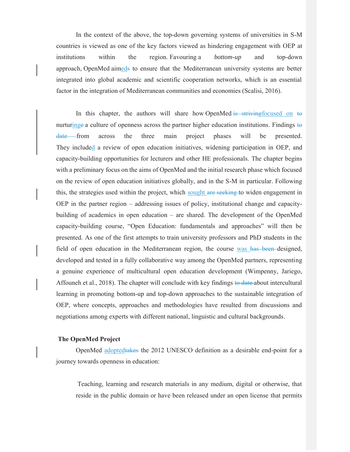In the context of the above, the top-down governing systems of universities in S-M countries is viewed as one of the key factors viewed as hindering engagement with OEP at institutions approach, OpenMed aimeds to ensure that the Mediterranean university systems are better integrated into global academic and scientific cooperation networks, which is an essential within the region. Favouring a *bottom-up* and top-down factor in the integration of Mediterranean communities and economies (Scalisi, 2016).

nurturinge a culture of openness across the partner higher education institutions. Findings to They included a review of open education initiatives, widening participation in OEP, and capacity-building opportunities for lecturers and other HE professionals. The chapter begins with a preliminary focus on the aims of OpenMed and the initial research phase which focused on the review of open education initiatives globally, and in the S-M in particular. Following this, the strategies used within the project, which sought are seeking to widen engagement in OEP in the partner region – addressing issues of policy, institutional change and capacity- building of academics in open education – are shared. The development of the OpenMed presented. As one of the first attempts to train university professors and PhD students in the field of open education in the Mediterranean region, the course was has been designed, developed and tested in a fully collaborative way among the OpenMed partners, representing a genuine experience of multicultural open education development (Wimpenny, Jariego, Affouneh et al., 2018). The chapter will conclude with key findings to date about intercultural learning in promoting bottom-up and top-down approaches to the sustainable integration of OEP, where concepts, approaches and methodologies have resulted from discussions and In this chapter, the authors will share how OpenMed is striving focused on to date from across the three main project phases will be presented. capacity-building course, "Open Education: fundamentals and approaches" will then be negotiations among experts with different national, linguistic and cultural backgrounds.

#### **The OpenMed Project**

OpenMed adoptedtakes the 2012 UNESCO definition as a desirable end-point for a journey towards openness in education:

 Teaching, learning and research materials in any medium, digital or otherwise, that reside in the public domain or have been released under an open license that permits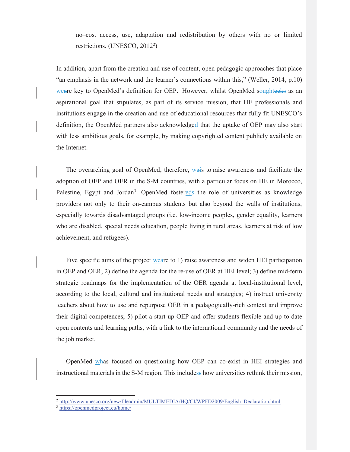no–cost access, use, adaptation and redistribution by others with no or limited restrictions. (UNESCO, 2012<sup>2</sup>)

weare key to OpenMed's definition for OEP. However, whilst OpenMed soughteeks as an aspirational goal that stipulates, as part of its service mission, that HE professionals and institutions engage in the creation and use of educational resources that fully fit UNESCO's definition, the OpenMed partners also acknowledged that the uptake of OEP may also start with less ambitious goals, for example, by making copyrighted content publicly available on In addition, apart from the creation and use of content, open pedagogic approaches that place "an emphasis in the network and the learner's connections within this," (Weller, 2014, p.10) the Internet.

The overarching goal of OpenMed, therefore, wais to raise awareness and facilitate the adoption of OEP and OER in the S-M countries, with a particular focus on HE in Morocco, Palestine, Egypt and Jordan<sup>3</sup>. OpenMed fostereds the role of universities as knowledge providers not only to their on-campus students but also beyond the walls of institutions, especially towards disadvantaged groups (i.e. low-income peoples, gender equality, learners who are disabled, special needs education, people living in rural areas, learners at risk of low achievement, and refugees).

Five specific aims of the project weare to 1) raise awareness and widen HEI participation strategic roadmaps for the implementation of the OER agenda at local-institutional level, teachers about how to use and repurpose OER in a pedagogically-rich context and improve their digital competences; 5) pilot a start-up OEP and offer students flexible and up-to-date open contents and learning paths, with a link to the international community and the needs of in OEP and OER; 2) define the agenda for the re-use of OER at HEI level; 3) define mid-term according to the local, cultural and institutional needs and strategies; 4) instruct university the job market.

OpenMed whas focused on questioning how OEP can co-exist in HEI strategies and instructional materials in the S-M region. This includess how universities rethink their mission,

l

<sup>&</sup>lt;sup>2</sup> http://www.unesco.org/new/fileadmin/MULTIMEDIA/HQ/CI/WPFD2009/English\_Declaration.html

<sup>3</sup> https://openmedproject.eu/home/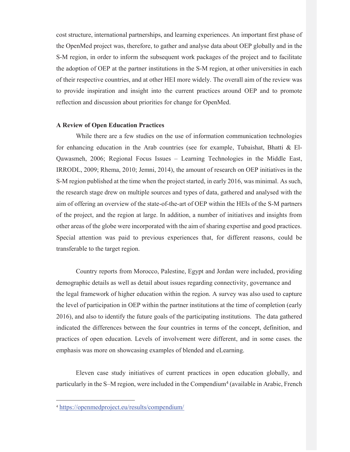cost structure, international partnerships, and learning experiences. An important first phase of the OpenMed project was, therefore, to gather and analyse data about OEP globally and in the S-M region, in order to inform the subsequent work packages of the project and to facilitate the adoption of OEP at the partner institutions in the S-M region, at other universities in each of their respective countries, and at other HEI more widely. The overall aim of the review was to provide inspiration and insight into the current practices around OEP and to promote reflection and discussion about priorities for change for OpenMed.

#### **A Review of Open Education Practices**

 While there are a few studies on the use of information communication technologies for enhancing education in the Arab countries (see for example, Tubaishat, Bhatti & El- Qawasmeh, 2006; Regional Focus Issues – Learning Technologies in the Middle East, S-M region published at the time when the project started, in early 2016, was minimal. As such, the research stage drew on multiple sources and types of data, gathered and analysed with the aim of offering an overview of the state-of-the-art of OEP within the HEIs of the S-M partners of the project, and the region at large. In addition, a number of initiatives and insights from other areas of the globe were incorporated with the aim of sharing expertise and good practices. Special attention was paid to previous experiences that, for different reasons, could be IRRODL, 2009; Rhema, 2010; Jemni, 2014), the amount of research on OEP initiatives in the transferable to the target region.

 Country reports from Morocco, Palestine, Egypt and Jordan were included, providing demographic details as well as detail about issues regarding connectivity, governance and the legal framework of higher education within the region. A survey was also used to capture the level of participation in OEP within the partner institutions at the time of completion (early 2016), and also to identify the future goals of the participating institutions. The data gathered indicated the differences between the four countries in terms of the concept, definition, and practices of open education. Levels of involvement were different, and in some cases. the emphasis was more on showcasing examples of blended and eLearning.

 Eleven case study initiatives of current practices in open education globally, and particularly in the S–M region, were included in the Compendium<sup>4</sup> (available in Arabic, French

 $\overline{a}$ 

<sup>4</sup> https://openmedproject.eu/results/compendium/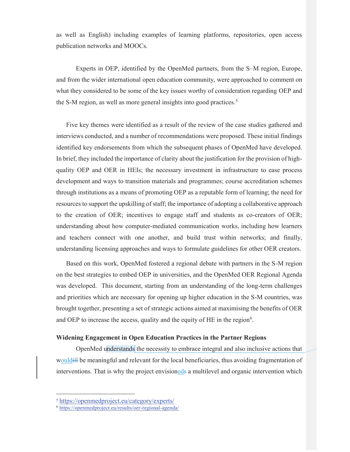as well as English) including examples of learning platforms, repositories, open access publication networks and MOOCs.

 Experts in OEP, identified by the OpenMed partners, from the S–M region, Europe, what they considered to be some of the key issues worthy of consideration regarding OEP and the S-M region, as well as more general insights into good practices.<sup>5</sup> and from the wider international open education community, were approached to comment on

 Five key themes were identified as a result of the review of the case studies gathered and interviews conducted, and a number of recommendations were proposed. These initial findings identified key endorsements from which the subsequent phases of OpenMed have developed. In brief, they included the importance of clarity about the justification for the provision of high- quality OEP and OER in HEIs; the necessary investment in infrastructure to ease process development and ways to transition materials and programmes; course accreditation schemes through institutions as a means of promoting OEP as a reputable form of learning; the need for resources to support the upskilling of staff; the importance of adopting a collaborative approach to the creation of OER; incentives to engage staff and students as co-creators of OER; understanding about how computer-mediated communication works, including how learners and teachers connect with one another, and build trust within networks; and finally, understanding licensing approaches and ways to formulate guidelines for other OER creators.

 Based on this work, OpenMed fostered a regional debate with partners in the S-M region on the best strategies to embed OEP in universities, and the OpenMed OER Regional Agenda was developed. This document, starting from an understanding of the long-term challenges and priorities which are necessary for opening up higher education in the S-M countries, was brought together, presenting a set of strategic actions aimed at maximising the benefits of OER and OEP to increase the access, quality and the equity of HE in the region<sup>6</sup>.

#### **Widening Engagement in Open Education Practices in the Partner Regions**

OpenMed understands the necessity to embrace integral and also inclusive actions that interventions. That is why the project envisioneds a multilevel and organic intervention which wouldill be meaningful and relevant for the local beneficiaries, thus avoiding fragmentation of

l

<sup>5</sup> https://openmedproject.eu/category/experts/

<sup>6</sup> https://openmedproject.eu/results/oer-regional-agenda/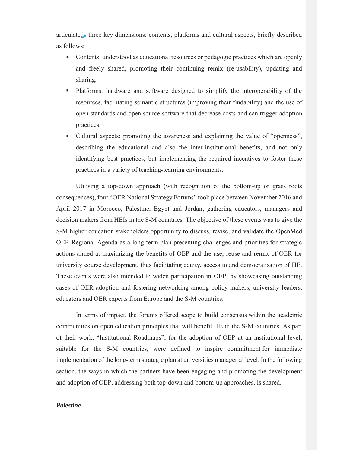articulateds three key dimensions: contents, platforms and cultural aspects, briefly described as follows:

- **Contents: understood as educational resources or pedagogic practices which are openly** and freely shared, promoting their continuing remix (re-usability), updating and sharing.
- **Platforms:** hardware and software designed to simplify the interoperability of the resources, facilitating semantic structures (improving their findability) and the use of open standards and open source software that decrease costs and can trigger adoption practices.
- Cultural aspects: promoting the awareness and explaining the value of "openness", describing the educational and also the inter-institutional benefits, and not only identifying best practices, but implementing the required incentives to foster these practices in a variety of teaching-learning environments.

 Utilising a top-down approach (with recognition of the bottom-up or grass roots consequences), four "OER National Strategy Forums" took place between November 2016 and April 2017 in Morocco, Palestine, Egypt and Jordan, gathering educators, managers and decision makers from HEIs in the S-M countries. The objective of these events was to give the S-M higher education stakeholders opportunity to discuss, revise, and validate the OpenMed OER Regional Agenda as a long-term plan presenting challenges and priorities for strategic actions aimed at maximizing the benefits of OEP and the use, reuse and remix of OER for university course development, thus facilitating equity, access to and democratisation of HE. These events were also intended to widen participation in OEP, by showcasing outstanding cases of OER adoption and fostering networking among policy makers, university leaders, educators and OER experts from Europe and the S-M countries.

 In terms of impact, the forums offered scope to build consensus within the academic of their work, "Institutional Roadmaps", for the adoption of OEP at an institutional level, suitable for the S-M countries, were defined to inspire commitment for immediate section, the ways in which the partners have been engaging and promoting the development and adoption of OEP, addressing both top-down and bottom-up approaches, is shared. communities on open education principles that will benefit HE in the S-M countries. As part implementation of the long-term strategic plan at universities managerial level. In the following

#### *Palestine*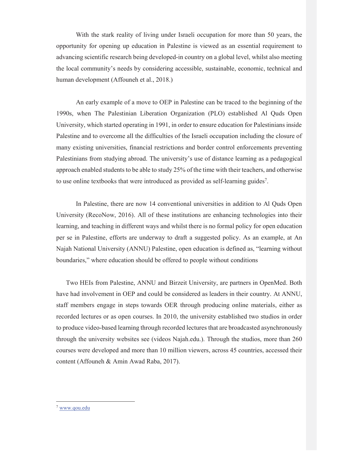With the stark reality of living under Israeli occupation for more than 50 years, the opportunity for opening up education in Palestine is viewed as an essential requirement to advancing scientific research being developed-in country on a global level, whilst also meeting the local community's needs by considering accessible, sustainable, economic, technical and human development (Affouneh et al., 2018.)

 An early example of a move to OEP in Palestine can be traced to the beginning of the 1990s, when The Palestinian Liberation Organization (PLO) established Al Quds Open University, which started operating in 1991, in order to ensure education for Palestinians inside Palestine and to overcome all the difficulties of the Israeli occupation including the closure of many existing universities, financial restrictions and border control enforcements preventing Palestinians from studying abroad. The university's use of distance learning as a pedagogical approach enabled students to be able to study 25% of the time with their teachers, and otherwise to use online textbooks that were introduced as provided as self-learning guides<sup>7</sup>.

 In Palestine, there are now 14 conventional universities in addition to Al Quds Open University (RecoNow, 2016). All of these institutions are enhancing technologies into their learning, and teaching in different ways and whilst there is no formal policy for open education per se in Palestine, efforts are underway to draft a suggested policy. As an example, at An Najah National University (ANNU) Palestine, open education is defined as, "learning without boundaries," where education should be offered to people without conditions

 Two HEIs from Palestine, ANNU and Birzeit University, are partners in OpenMed. Both have had involvement in OEP and could be considered as leaders in their country. At ANNU, staff members engage in steps towards OER through producing online materials, either as recorded lectures or as open courses. In 2010, the university established two studios in order to produce video-based learning through recorded lectures that are broadcasted asynchronously through the university websites see (videos Najah.edu.). Through the studios, more than 260 courses were developed and more than 10 million viewers, across 45 countries, accessed their content (Affouneh & Amin Awad Raba, 2017).

 $\overline{a}$ 

<sup>7</sup> www.qou.edu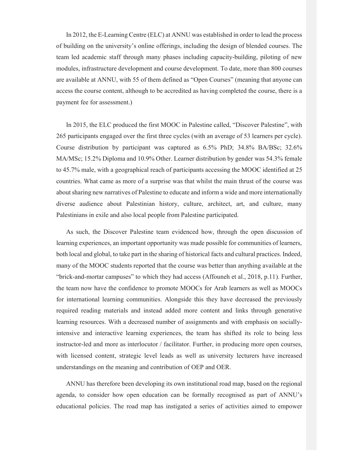of building on the university's online offerings, including the design of blended courses. The team led academic staff through many phases including capacity-building, piloting of new are available at ANNU, with 55 of them defined as "Open Courses" (meaning that anyone can access the course content, although to be accredited as having completed the course, there is a In 2012, the E-Learning Centre (ELC) at ANNU was established in order to lead the process modules, infrastructure development and course development. To date, more than 800 courses payment fee for assessment.)

 In 2015, the ELC produced the first MOOC in Palestine called, "Discover Palestine", with 265 participants engaged over the first three cycles (with an average of 53 learners per cycle). Course distribution by participant was captured as 6.5% PhD; 34.8% BA/BSc; 32.6% MA/MSc; 15.2% Diploma and 10.9% Other. Learner distribution by gender was 54.3% female to 45.7% male, with a geographical reach of participants accessing the MOOC identified at 25 countries. What came as more of a surprise was that whilst the main thrust of the course was about sharing new narratives of Palestine to educate and inform a wide and more internationally diverse audience about Palestinian history, culture, architect, art, and culture, many Palestinians in exile and also local people from Palestine participated.

 As such, the Discover Palestine team evidenced how, through the open discussion of learning experiences, an important opportunity was made possible for communities of learners, both local and global, to take part in the sharing of historical facts and cultural practices. Indeed, "brick-and-mortar campuses" to which they had access (Affouneh et al., 2018, p.11). Further, the team now have the confidence to promote MOOCs for Arab learners as well as MOOCs for international learning communities. Alongside this they have decreased the previously required reading materials and instead added more content and links through generative learning resources. With a decreased number of assignments and with emphasis on socially- intensive and interactive learning experiences, the team has shifted its role to being less instructor-led and more as interlocutor / facilitator. Further, in producing more open courses, with licensed content, strategic level leads as well as university lecturers have increased many of the MOOC students reported that the course was better than anything available at the understandings on the meaning and contribution of OEP and OER.

 ANNU has therefore been developing its own institutional road map, based on the regional agenda, to consider how open education can be formally recognised as part of ANNU's educational policies. The road map has instigated a series of activities aimed to empower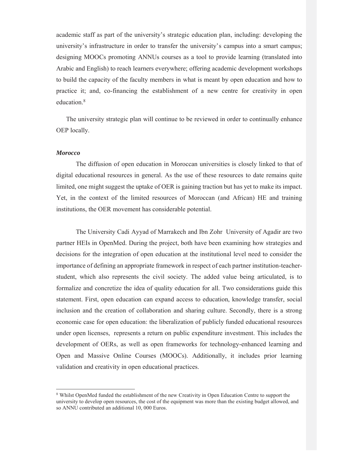academic staff as part of the university's strategic education plan, including: developing the university's infrastructure in order to transfer the university's campus into a smart campus; designing MOOCs promoting ANNUs courses as a tool to provide learning (translated into Arabic and English) to reach learners everywhere; offering academic development workshops to build the capacity of the faculty members in what is meant by open education and how to practice it; and, co-financing the establishment of a new centre for creativity in open education.<sup>8</sup>

 OEP locally. The university strategic plan will continue to be reviewed in order to continually enhance

#### *Morocco*

 $\overline{a}$ 

 The diffusion of open education in Moroccan universities is closely linked to that of digital educational resources in general. As the use of these resources to date remains quite limited, one might suggest the uptake of OER is gaining traction but has yet to make its impact. Yet, in the context of the limited resources of Moroccan (and African) HE and training institutions, the OER movement has considerable potential.

 The University Cadi Ayyad of Marrakech and Ibn Zohr University of Agadir are two partner HEIs in OpenMed. During the project, both have been examining how strategies and decisions for the integration of open education at the institutional level need to consider the importance of defining an appropriate framework in respect of each partner institution-teacher- student, which also represents the civil society. The added value being articulated, is to formalize and concretize the idea of quality education for all. Two considerations guide this statement. First, open education can expand access to education, knowledge transfer, social inclusion and the creation of collaboration and sharing culture. Secondly, there is a strong economic case for open education: the liberalization of publicly funded educational resources under open licenses, represents a return on public expenditure investment. This includes the development of OERs, as well as open frameworks for technology-enhanced learning and Open and Massive Online Courses (MOOCs). Additionally, it includes prior learning validation and creativity in open educational practices.

<sup>&</sup>lt;sup>8</sup> Whilst OpenMed funded the establishment of the new Creativity in Open Education Centre to support the university to develop open resources, the cost of the equipment was more than the existing budget allowed, and so ANNU contributed an additional 10, 000 Euros.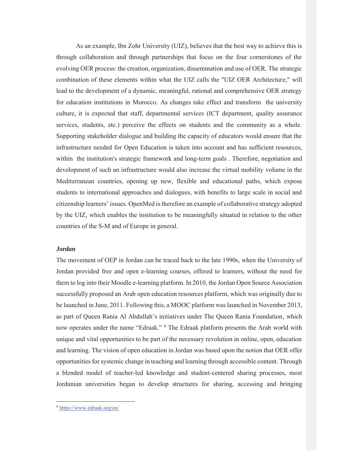As an example, Ibn Zohr University (UIZ), believes that the best way to achieve this is through collaboration and through partnerships that focus on the four cornerstones of the evolving OER process: the creation, organization, dissemination and use of OER. The strategic lead to the development of a dynamic, meaningful, rational and comprehensive OER strategy for education institutions in Morocco. As changes take effect and transform the university culture, it is expected that staff, departmental services (ICT department, quality assurance services, students, etc.) perceive the effects on students and the community as a whole. Supporting stakeholder dialogue and building the capacity of educators would ensure that the infrastructure needed for Open Education is taken into account and has sufficient resources, within the institution's strategic framework and long-term goals . Therefore, negotiation and development of such an infrastructure would also increase the virtual mobility volume in the Mediterranean countries, opening up new, flexible and educational paths, which expose citizenship learners' issues. OpenMed is therefore an example of collaborative strategy adopted by the UIZ, which enables the institution to be meaningfully situated in relation to the other combination of these elements within what the UIZ calls the "UIZ OER Architecture," will students to international approaches and dialogues, with benefits to large scale in social and countries of the S-M and of Europe in general.

#### *Jordan*

 The movement of OEP in Jordan can be traced back to the late 1990s, when the University of Jordan provided free and open e-learning courses, offered to learners, without the need for successfully proposed an Arab open education resources platform, which was originally due to be launched in June, 2011. Following this, a MOOC platform was launched in November 2013, as part of Queen Rania Al Abdullah's initiatives under The Queen Rania Foundation, which now operates under the name "Edraak." <sup>9</sup> The Edraak platform presents the Arab world with unique and vital opportunities to be part of the necessary revolution in online, open, education and learning. The vision of open education in Jordan was based upon the notion that OER offer opportunities for systemic change in teaching and learning through accessible content. Through a blended model of teacher-led knowledge and student-centered sharing processes, most Jordanian universities began to develop structures for sharing, accessing and bringing them to log into their Moodle e-learning platform. In 2010, the Jordan Open Source Association

 $\overline{a}$ 

<sup>9</sup> https://www.edraak.org/en/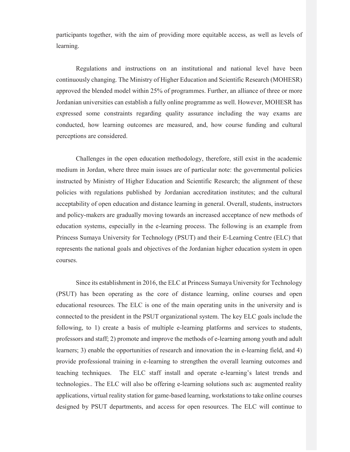participants together, with the aim of providing more equitable access, as well as levels of learning.

 Regulations and instructions on an institutional and national level have been continuously changing. The Ministry of Higher Education and Scientific Research (MOHESR) approved the blended model within 25% of programmes. Further, an alliance of three or more expressed some constraints regarding quality assurance including the way exams are conducted, how learning outcomes are measured, and, how course funding and cultural Jordanian universities can establish a fully online programme as well. However, MOHESR has perceptions are considered.

 medium in Jordan, where three main issues are of particular note: the governmental policies instructed by Ministry of Higher Education and Scientific Research; the alignment of these policies with regulations published by Jordanian accreditation institutes; and the cultural acceptability of open education and distance learning in general. Overall, students, instructors and policy-makers are gradually moving towards an increased acceptance of new methods of education systems, especially in the e-learning process. The following is an example from Princess Sumaya University for Technology (PSUT) and their E-Learning Centre (ELC) that represents the national goals and objectives of the Jordanian higher education system in open courses. Challenges in the open education methodology, therefore, still exist in the academic

 Since its establishment in 2016, the ELC at Princess Sumaya University for Technology (PSUT) has been operating as the core of distance learning, online courses and open educational resources. The ELC is one of the main operating units in the university and is following, to 1) create a basis of multiple e-learning platforms and services to students, professors and staff; 2) promote and improve the methods of e-learning among youth and adult learners; 3) enable the opportunities of research and innovation the in e-learning field, and 4) teaching techniques. The ELC staff install and operate e-learning's latest trends and technologies.. The ELC will also be offering e-learning solutions such as: augmented reality applications, virtual reality station for game-based learning, workstations to take online courses designed by PSUT departments, and access for open resources. The ELC will continue toconnected to the president in the PSUT organizational system. The key ELC goals include the provide professional training in e-learning to strengthen the overall learning outcomes and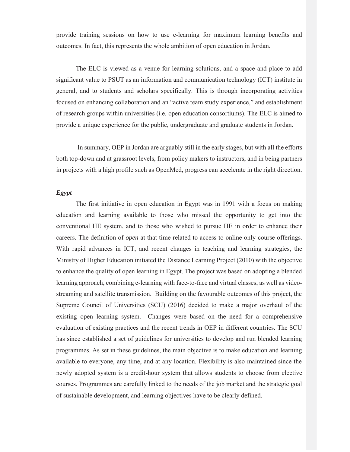provide training sessions on how to use e-learning for maximum learning benefits and outcomes. In fact, this represents the whole ambition of open education in Jordan.

 The ELC is viewed as a venue for learning solutions, and a space and place to add significant value to PSUT as an information and communication technology (ICT) institute in general, and to students and scholars specifically. This is through incorporating activities focused on enhancing collaboration and an "active team study experience," and establishment of research groups within universities (i.e. open education consortiums). The ELC is aimed to provide a unique experience for the public, undergraduate and graduate students in Jordan.

 In summary, OEP in Jordan are arguably still in the early stages, but with all the efforts both top-down and at grassroot levels, from policy makers to instructors, and in being partners in projects with a high profile such as OpenMed, progress can accelerate in the right direction.

#### *Egypt*

 The first initiative in open education in Egypt was in 1991 with a focus on making education and learning available to those who missed the opportunity to get into the conventional HE system, and to those who wished to pursue HE in order to enhance their careers. The definition of *open* at that time related to access to online only course offerings. With rapid advances in ICT, and recent changes in teaching and learning strategies, the Ministry of Higher Education initiated the Distance Learning Project (2010) with the objective to enhance the quality of open learning in Egypt. The project was based on adopting a blended learning approach, combining e-learning with face-to-face and virtual classes, as well as video- streaming and satellite transmission. Building on the favourable outcomes of this project, the Supreme Council of Universities (SCU) (2016) decided to make a major overhaul of the existing open learning system. Changes were based on the need for a comprehensive evaluation of existing practices and the recent trends in OEP in different countries. The SCU has since established a set of guidelines for universities to develop and run blended learning available to everyone, any time, and at any location. Flexibility is also maintained since the newly adopted system is a credit-hour system that allows students to choose from elective courses. Programmes are carefully linked to the needs of the job market and the strategic goal programmes. As set in these guidelines, the main objective is to make education and learning of sustainable development, and learning objectives have to be clearly defined.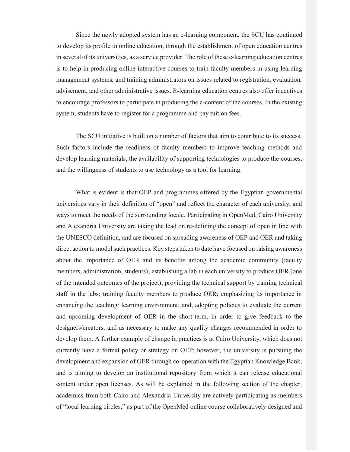Since the newly adopted system has an e-learning component, the SCU has continued to develop its profile in online education, through the establishment of open education centres in several of its universities, as a service provider. The role of these e-learning education centres is to help in producing online interactive courses to train faculty members in using learning management systems, and training administrators on issues related to registration, evaluation, to encourage professors to participate in producing the e-content of the courses. In the existing system, students have to register for a programme and pay tuition fees. advisement, and other administrative issues. E-learning education centres also offer incentives

 The SCU initiative is built on a number of factors that aim to contribute to its success. Such factors include the readiness of faculty members to improve teaching methods and develop learning materials, the availability of supporting technologies to produce the courses, and the willingness of students to use technology as a tool for learning.

 What is evident is that OEP and programmes offered by the Egyptian governmental universities vary in their definition of "open" and reflect the character of each university, and and Alexandria University are taking the lead on re-defining the concept of open in line with the UNESCO definition, and are focused on spreading awareness of OEP and OER and taking direct action to model such practices. Key steps taken to date have focused on raising awareness about the importance of OER and its benefits among the academic community (faculty members, administration, students); establishing a lab in each university to produce OER (one of the intended outcomes of the project); providing the technical support by training technical staff in the labs; training faculty members to produce OER; emphasizing its importance in enhancing the teaching/ learning environment; and, adopting policies to evaluate the current and upcoming development of OER in the short-term, in order to give feedback to the designers/creators, and as necessary to make any quality changes recommended in order to develop them. A further example of change in practices is at Cairo University, which does not currently have a formal policy or strategy on OEP; however, the university is pursuing the development and expansion of OER through co-operation with the Egyptian Knowledge Bank, and is aiming to develop an institutional repository from which it can release educational content under open licenses. As will be explained in the following section of the chapter, academics from both Cairo and Alexandria University are actively participating as members ways to meet the needs of the surrounding locale. Participating in OpenMed, Cairo University of "local learning circles," as part of the OpenMed online course collaboratively designed and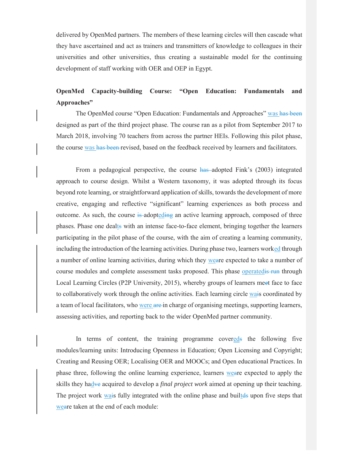delivered by OpenMed partners. The members of these learning circles will then cascade what they have ascertained and act as trainers and transmitters of knowledge to colleagues in their development of staff working with OER and OEP in Egypt. universities and other universities, thus creating a sustainable model for the continuing

#### **Fundamentals OpenMed Capacity-building Course: "Open Education: Fundamentals and Approaches"**

The OpenMed course "Open Education: Fundamentals and Approaches" was has been designed as part of the third project phase. The course ran as a pilot from September 2017 to March 2018, involving 70 teachers from across the partner HEIs. Following this pilot phase, the course was has been revised, based on the feedback received by learners and facilitators.

From a pedagogical perspective, the course has adopted Fink's (2003) integrated approach to course design. Whilst a Western taxonomy, it was adopted through its focus beyond rote learning, or straightforward application of skills, towards the development of more creative, engaging and reflective "significant" learning experiences as both process and outcome. As such, the course is adopteding an active learning approach, composed of three phases. Phase one dealts with an intense face-to-face element, bringing together the learners participating in the pilot phase of the course, with the aim of creating a learning community, including the introduction of the learning activities. During phase two, learners worked through a number of online learning activities, during which they weare expected to take a number of course modules and complete assessment tasks proposed. This phase operatedis run through Local Learning Circles (P2P University, 2015), whereby groups of learners meet face to face to collaboratively work through the online activities. Each learning circle wais coordinated by a team of local facilitators, who were are in charge of organising meetings, supporting learners, assessing activities, and reporting back to the wider OpenMed partner community.

In terms of content, the training programme covereds the following five modules/learning units: Introducing Openness in Education; Open Licensing and Copyright; Creating and Reusing OER; Localising OER and MOOCs; and Open educational Practices. In skills they hadve acquired to develop a *final project work* aimed at opening up their teaching. The project work wais fully integrated with the online phase and builteds upon five steps that phase three, following the online learning experience, learners weare expected to apply the weare taken at the end of each module: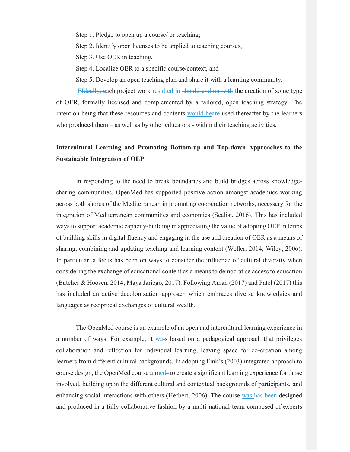Step 1. Pledge to open up a course/ or teaching;

Step 2. Identify open licenses to be applied to teaching courses,

Step 3. Use OER in teaching,

Step 4. Localize OER to a specific course/context, and

Step 5. Develop an open teaching plan and share it with a learning community.

EIdeally, each project work resulted in should end up with the creation of some type of OER, formally licensed and complemented by a tailored, open teaching strategy. The who produced them – as well as by other educators - within their teaching activities. intention being that these resources and contents would beare used thereafter by the learners

## **Intercultural Learning and Promoting Bottom-up and Top-down Approaches to the Sustainable Integration of OEP**

 In responding to the need to break boundaries and build bridges across knowledge- sharing communities, OpenMed has supported positive action amongst academics working integration of Mediterranean communities and economies (Scalisi, 2016). This has included ways to support academic capacity-building in appreciating the value of adopting OEP in terms of building skills in digital fluency and engaging in the use and creation of OER as a means of sharing, combining and updating teaching and learning content (Weller, 2014; Wiley, 2006). In particular, a focus has been on ways to consider the influence of cultural diversity when considering the exchange of educational content as a means to democratise access to education has included an active decolonization approach which embraces diverse knowledgies and languages as reciprocal exchanges of cultural wealth. across both shores of the Mediterranean in promoting cooperation networks, necessary for the (Butcher & Hoosen, 2014; Maya Jariego, 2017). Following Aman (2017) and Patel (2017) this

 The OpenMed course is an example of an open and intercultural learning experience in a number of ways. For example, it wais based on a pedagogical approach that privileges collaboration and reflection for individual learning, leaving space for co-creation among learners from different cultural backgrounds. In adopting Fink's (2003) integrated approach to course design, the OpenMed course aimeds to create a significant learning experience for those involved, building upon the different cultural and contextual backgrounds of participants, and enhancing social interactions with others (Herbert, 2006). The course was has been designed and produced in a fully collaborative fashion by a multi-national team composed of experts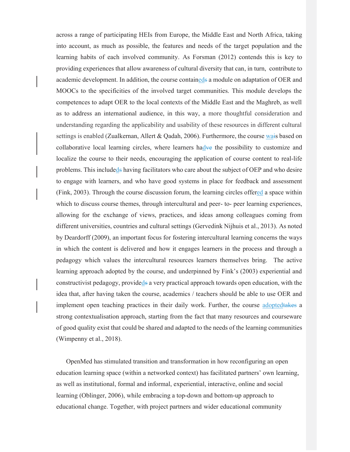across a range of participating HEIs from Europe, the Middle East and North Africa, taking into account, as much as possible, the features and needs of the target population and the learning habits of each involved community. As Forsman (2012) contends this is key to providing experiences that allow awareness of cultural diversity that can, in turn, contribute to academic development. In addition, the course containeds a module on adaptation of OER and MOOCs to the specificities of the involved target communities. This module develops the competences to adapt OER to the local contexts of the Middle East and the Maghreb, as well as to address an international audience, in this way, a more thoughtful consideration and understanding regarding the applicability and usability of these resources in different cultural settings is enabled (Zualkernan, Allert & Qadah, 2006). Furthermore, the course wais based on collaborative local learning circles, where learners hadve the possibility to customize and localize the course to their needs, encouraging the application of course content to real-life problems. This includeds having facilitators who care about the subject of OEP and who desire to engage with learners, and who have good systems in place for feedback and assessment (Fink, 2003). Through the course discussion forum, the learning circles offered a space within which to discuss course themes, through intercultural and peer- to- peer learning experiences, allowing for the exchange of views, practices, and ideas among colleagues coming from different universities, countries and cultural settings (Gervedink Nijhuis et al., 2013). As noted by Deardorff (2009), an important focus for fostering intercultural learning concerns the ways in which the content is delivered and how it engages learners in the process and through a pedagogy which values the intercultural resources learners themselves bring. The active learning approach adopted by the course, and underpinned by Fink's (2003) experiential and constructivist pedagogy, provideds a very practical approach towards open education, with the idea that, after having taken the course, academics / teachers should be able to use OER and implement open teaching practices in their daily work. Further, the course adoptedtakes a strong contextualisation approach, starting from the fact that many resources and courseware of good quality exist that could be shared and adapted to the needs of the learning communities (Wimpenny et al., 2018).

 learning (Oblinger, 2006), while embracing a top-down and bottom-up approach to OpenMed has stimulated transition and transformation in how reconfiguring an open education learning space (within a networked context) has facilitated partners' own learning, as well as institutional, formal and informal, experiential, interactive, online and social educational change. Together, with project partners and wider educational community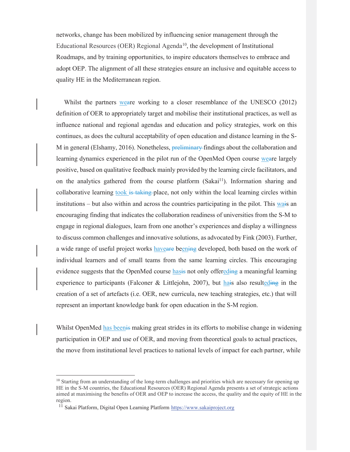networks, change has been mobilized by influencing senior management through the quality HE in the Mediterranean region. Educational Resources (OER) Regional Agenda<sup>10</sup>, the development of Institutional Roadmaps, and by training opportunities, to inspire educators themselves to embrace and adopt OEP. The alignment of all these strategies ensure an inclusive and equitable access to

 definition of OER to appropriately target and mobilise their institutional practices, as well as influence national and regional agendas and education and policy strategies, work on this continues, as does the cultural acceptability of open education and distance learning in the S-M in general (Elshamy, 2016). Nonetheless, preliminary findings about the collaboration and learning dynamics experienced in the pilot run of the OpenMed Open course weare largely positive, based on qualitative feedback mainly provided by the learning circle facilitators, and on the analytics gathered from the course platform (Sakai<sup>11</sup>). Information sharing and collaborative learning took is taking place, not only within the local learning circles within institutions – but also within and across the countries participating in the pilot. This wais an encouraging finding that indicates the collaboration readiness of universities from the S-M to engage in regional dialogues, learn from one another's experiences and display a willingness to discuss common challenges and innovative solutions, as advocated by Fink (2003). Further, a wide range of useful project works haveare beening developed, both based on the work of individual learners and of small teams from the same learning circles. This encouraging evidence suggests that the OpenMed course hasis not only offereding a meaningful learning experience to participants (Falconer & Littlejohn, 2007), but hais also resulteding in the creation of a set of artefacts (i.e. OER, new curricula, new teaching strategies, etc.) that will Whilst the partners weare working to a closer resemblance of the UNESCO (2012) represent an important knowledge bank for open education in the S-M region.

Whilst OpenMed has beenis making great strides in its efforts to mobilise change in widening participation in OEP and use of OER, and moving from theoretical goals to actual practices, the move from institutional level practices to national levels of impact for each partner, while

l

 HE in the S-M countries, the Educational Resources (OER) Regional Agenda presents a set of strategic actions aimed at maximising the benefits of OER and OEP to increase the access, the quality and the equity of HE in the <sup>10</sup> Starting from an understanding of the long-term challenges and priorities which are necessary for opening up region.

<sup>&</sup>lt;sup>11</sup> Sakai Platform, Digital Open Learning Platform https://www.sakaiproject.org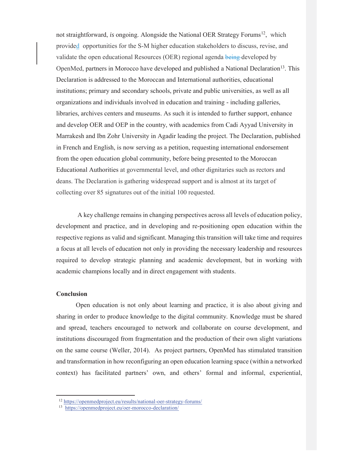provided opportunities for the S-M higher education stakeholders to discuss, revise, and Declaration is addressed to the Moroccan and International authorities, educational institutions; primary and secondary schools, private and public universities, as well as all and develop OER and OEP in the country, with academics from Cadi Ayyad University in in French and English, is now serving as a petition, requesting international endorsement Educational Authorities at governmental level, and other dignitaries such as rectors and deans. The Declaration is gathering widespread support and is almost at its target of collecting over 85 signatures out of the initial 100 requested. not straightforward, *is* ongoing. Alongside the National OER Strategy Forums<sup>12</sup>, which validate the open educational Resources (OER) regional agenda being developed by OpenMed, partners in Morocco have developed and published a National Declaration<sup>13</sup>. This organizations and individuals involved in education and training - including galleries, libraries, archives centers and museums. As such it is intended to further support, enhance Marrakesh and Ibn Zohr University in Agadir leading the project. The Declaration, published from the open education global community, before being presented to the Moroccan

 A key challenge remains in changing perspectives across all levels of education policy, development and practice, and in developing and re-positioning open education within the respective regions as valid and significant. Managing this transition will take time and requires a focus at all levels of education not only in providing the necessary leadership and resources required to develop strategic planning and academic development, but in working with academic champions locally and in direct engagement with students.

#### **Conclusion**

l

 Open education is not only about learning and practice, it is also about giving and sharing in order to produce knowledge to the digital community. Knowledge must be shared and spread, teachers encouraged to network and collaborate on course development, and institutions discouraged from fragmentation and the production of their own slight variations context) has facilitated partners' own, and others' formal and informal, experiential, on the same course (Weller, 2014). As project partners, OpenMed has stimulated transition and transformation in how reconfiguring an open education learning space (within a networked

<sup>&</sup>lt;sup>12</sup> https://openmedproject.eu/results/national-oer-strategy-forums/

<sup>13</sup> https://openmedproject.eu/oer-morocco-declaration/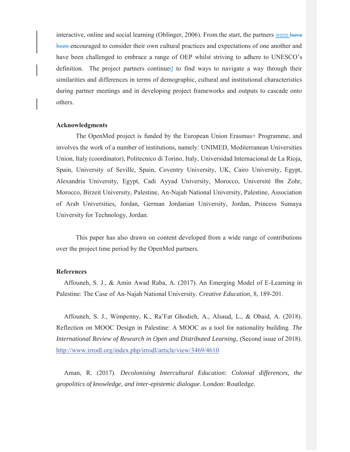interactive, online and social learning (Oblinger, 2006). From the start, the partners were have been encouraged to consider their own cultural practices and expectations of one another and have been challenged to embrace a range of OEP whilst striving to adhere to UNESCO's definition. The project partners continued to find ways to navigate a way through their similarities and differences in terms of demographic, cultural and institutional characteristics during partner meetings and in developing project frameworks and outputs to cascade onto others.

#### **Acknowledgments**

 The OpenMed project is funded by the European Union Erasmus+ Programme, and involves the work of a number of institutions, namely: UNIMED, Mediterranean Universities Union, Italy (coordinator), Politecnico di Torino, Italy, Universidad Internacional de La Rioja, Spain, University of Seville, Spain, Coventry University, UK, Cairo University, Egypt, of Arab Universities, Jordan, German Jordanian University, Jordan, Princess Sumaya Alexandria University, Egypt, Cadi Ayyad University, Morocco, Université Ibn Zohr, Morocco, Birzeit University, Palestine, An-Najah National University, Palestine, Association University for Technology, Jordan.

 This paper has also drawn on content developed from a wide range of contributions over the project time period by the OpenMed partners.

#### **References**

 Affouneh, S. J., & Amin Awad Raba, A. (2017). An Emerging Model of E-Learning in Palestine: The Case of An-Najah National University. *Creative Education*, 8, 189-201.

 Affouneh, S. J., Wimpenny, K., Ra'Fat Ghodieh, A., Alsaud, L., & Obaid, A. (2018). Reflection on MOOC Design in Palestine: A MOOC as a tool for nationality building. *The International Review of Research in Open and Distributed Learning,* (Second issue of 2018). http://www.irrodl.org/index.php/irrodl/article/view/3469/4610

 Aman, R. (2017). *Decolonising Intercultural Education: Colonial differences, the geopolitics of knowledge, and inter-epistemic dialogue*. London: Routledge.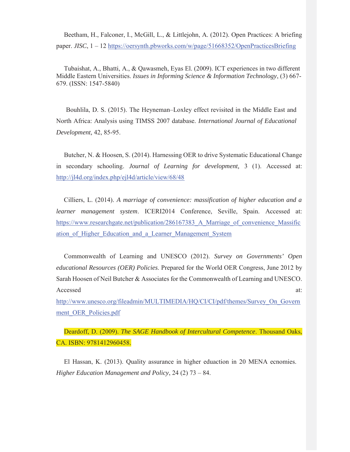Beetham, H., Falconer, I., McGill, L., & Littlejohn, A. (2012). Open Practices: A briefing paper. *JISC*, 1 – 12 https://oersynth.pbworks.com/w/page/51668352/OpenPracticesBriefing

Tubaishat, A., Bhatti, A., & Qawasmeh, Eyas El. (2009). ICT experiences in two different Middle Eastern Universities. *Issues in Informing Science & Information Technology*, (3) 667- 679. (ISSN: 1547-5840)

 Bouhlila, D. S. (2015). The Heyneman–Loxley effect revisited in the Middle East and North Africa: Analysis using TIMSS 2007 database. *International Journal of Educational Development,* 42, 85-95.

 in secondary schooling. *Journal of Learning for development,* 3 (1). Accessed at: http://jl4d.org/index.php/ejl4d/article/view/68/48 Butcher, N. & Hoosen, S. (2014). Harnessing OER to drive Systematic Educational Change

 Cilliers, L. (2014). *A marriage of convenience: massification of higher education and a*  ation of Higher Education and a Learner Management System *learner management system*. ICERI2014 Conference, Seville, Spain. Accessed at: https://www.researchgate.net/publication/286167383 A Marriage of convenience Massific

 Commonwealth of Learning and UNESCO (2012). *Survey on Governments' Open educational Resources (OER) Policies*. Prepared for the World OER Congress, June 2012 by Sarah Hoosen of Neil Butcher & Associates for the Commonwealth of Learning and UNESCO. Accessed at: http://www.unesco.org/fileadmin/MULTIMEDIA/HQ/CI/CI/pdf/themes/Survey\_On\_Govern

ment\_OER\_Policies.pdf

Deardoff, D. (2009). *The SAGE Handbook of Intercultural Competence*. Thousand Oaks, CA. ISBN: 9781412960458.

 El Hassan, K. (2013). Quality assurance in higher eduaction in 20 MENA ecnomies. *Higher Education Management and Policy*, 24 (2) 73 – 84.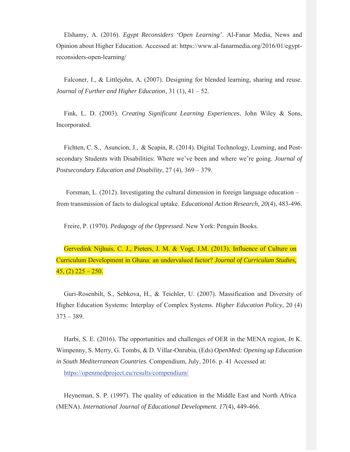Elshamy, A. (2016). *Egypt Reconsiders 'Open Learning'*. Al-Fanar Media, News and Opinion about Higher Education. Accessed at: https://www.al-fanarmedia.org/2016/01/egyptreconsiders-open-learning/

 Falconer, I., & Littlejohn, A. (2007). Designing for blended learning, sharing and reuse. *Journal of Further and Higher Education*, 31 (1), 41 – 52.

 Fink, L. D. (2003). *Creating Significant Learning Experiences*, John Wiley & Sons, Incorporated.

 Fichten, C. S., Asuncion, J., & Scapin, R. (2014). Digital Technology, Learning, and Postsecondary Students with Disabilities: Where we've been and where we're going. *Journal of Postsecondary Education and Disability*, 27 (4), 369 – 379.

 from transmission of facts to dialogical uptake. *Educational Action Research, 20*(4), 483-496. Forsman, L. (2012). Investigating the cultural dimension in foreign language education –

Freire, P. (1970). *Pedagogy of the Oppressed*. New York: Penguin Books.

 Gervedink Nijhuis, C. J., Pieters, J. M. & Vogt, J.M. (2013). Influence of Culture on Curriculum Development in Ghana: an undervalued factor? *Journal of Curriculum Studies,*   $45, (2)$   $225 - 250.$ 

 Guri-Rosenbilt, S., Sebkova, H., & Teichler, U. (2007). Massification and Diversity of Higher Education Systems: Interplay of Complex Systems. *Higher Education Policy*, 20 (4) 373 – 389.

 Harbi, S. E. (2016). The opportunities and challenges of OER in the MENA region, *In* K. Wimpenny, S. Merry, G. Tombs, & D. Villar-Onrubia, (Eds) *OpenMed: Opening up Education in South Mediterranean Countries.* Compendium, July, 2016. p. 41 Accessed at: https://openmedproject.eu/results/compendium/

 Heyneman, S. P. (1997). The quality of education in the Middle East and North Africa (MENA). *International Journal of Educational Development. 17*(4), 449-466.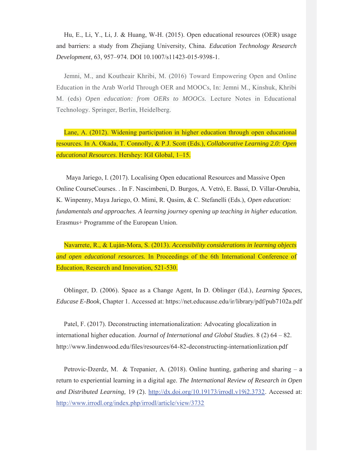Hu, E., Li, Y., Li, J. & Huang, W-H. (2015). Open educational resources (OER) usage and barriers: a study from Zhejiang University, China. *Education Technology Research Development*, 63, 957–974. DOI 10.1007/s11423-015-9398-1.

 Jemni, M., and Koutheair Khribi, M. (2016) Toward Empowering Open and Online Education in the Arab World Through OER and MOOCs, In: Jemni M., Kinshuk, Khribi M. (eds) *Open education: from OERs to MOOCs.* Lecture Notes in Educational Technology. Springer, Berlin, Heidelberg.

 Lane, A. (2012). Widening participation in higher education through open educational resources. In A. Okada, T. Connolly, & P.J. Scott (Eds.), *Collaborative Learning 2.0: Open educational Resources*. Hershey: IGI Global, 1–15.

 Maya Jariego, I. (2017). Localising Open educational Resources and Massive Open Online CourseCourses. . In F. Nascimbeni, D. Burgos, A. Vetrò, E. Bassi, D. Villar-Onrubia, K. Winpenny, Maya Jariego, O. Mimi, R. Qasim, & C. Stefanelli (Eds.), *Open education: fundamentals and approaches. A learning journey opening up teaching in higher education.*  Erasmus+ Programme of the European Union.

 *and open educational resources.* In Proceedings of the 6th International Conference of Navarrete, R., & Luján-Mora, S. (2013). *Accessibility considerations in learning objects*  Education, Research and Innovation, 521-530.

 Oblinger, D. (2006). Space as a Change Agent, In D. Oblinger (Ed.), *Learning Spaces, Educase E-Book*, Chapter 1. Accessed at: https://net.educause.edu/ir/library/pdf/pub7102a.pdf

Patel, F. (2017). Deconstructing internationalization: Advocating glocalization in international higher education. *Journal of International and Global Studies*. 8 (2) 64 – 82. http://www.lindenwood.edu/files/resources/64-82-deconstructing-internationlization.pdf

 Petrovic-Dzerdz, M. & Trepanier, A. (2018). Online hunting, gathering and sharing – a return to experiential learning in a digital age. *The International Review of Research in Open*  http://www.irrodl.org/index.php/irrodl/article/view/3732*and Distributed Learning,* 19 (2). http://dx.doi.org/10.19173/irrodl.v19i2.3732. Accessed at: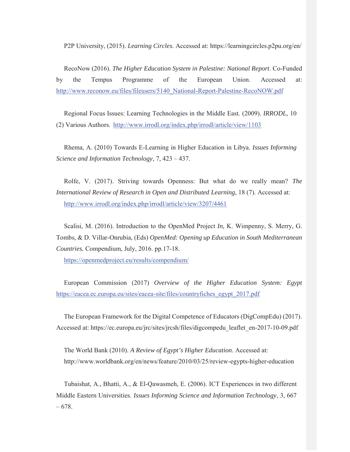P2P University, (2015). *Learning Circles*. Accessed at: https://learningcircles.p2pu.org/en/

 RecoNow (2016). *The Higher Education System in Palestine: National Report*. Co-Funded by http://www.reconow.eu/files/fileusers/5140\_National-Report-Palestine-RecoNOW.pdf by the Tempus Programme of the European Union. Accessed at:

Regional Focus Issues: Learning Technologies in the Middle East. (2009). *IRRODL,* 10 (2) Various Authors. http://www.irrodl.org/index.php/irrodl/article/view/1103

 Rhema, A. (2010) Towards E-Learning in Higher Education in Libya. *Issues Informing Science and Information Technology,* 7, 423 – 437.

 Rolfe, V. (2017). Striving towards Openness: But what do we really mean? *The International Review of Research in Open and Distributed Learning,* 18 (7). Accessed at: http://www.irrodl.org/index.php/irrodl/article/view/3207/4461

 Tombs, & D. Villar-Onrubia, (Eds) *OpenMed: Opening up Education in South Mediterranean*  Scalisi, M. (2016). Introduction to the OpenMed Project *In,* K. Wimpenny, S. Merry, G. *Countries.* Compendium, July, 2016. pp.17-18.

https://openmedproject.eu/results/compendium/

 https://eacea.ec.europa.eu/sites/eacea-site/files/countryfiches\_egypt\_2017.pdf European Commission (2017) *Overview of the Higher Education System: Egypt* 

 The European Framework for the Digital Competence of Educators (DigCompEdu) (2017). Accessed at: https://ec.europa.eu/jrc/sites/jrcsh/files/digcompedu\_leaflet\_en-2017-10-09.pdf

The World Bank (2010). *A Review of Egypt's Higher Education.* Accessed at: http://www.worldbank.org/en/news/feature/2010/03/25/review-egypts-higher-education

 Tubaishat, A., Bhatti, A., & El-Qawasmeh, E. (2006). ICT Experiences in two different Middle Eastern Universities. *Issues Informing Science and Information Technology*, 3, 667 – 678.